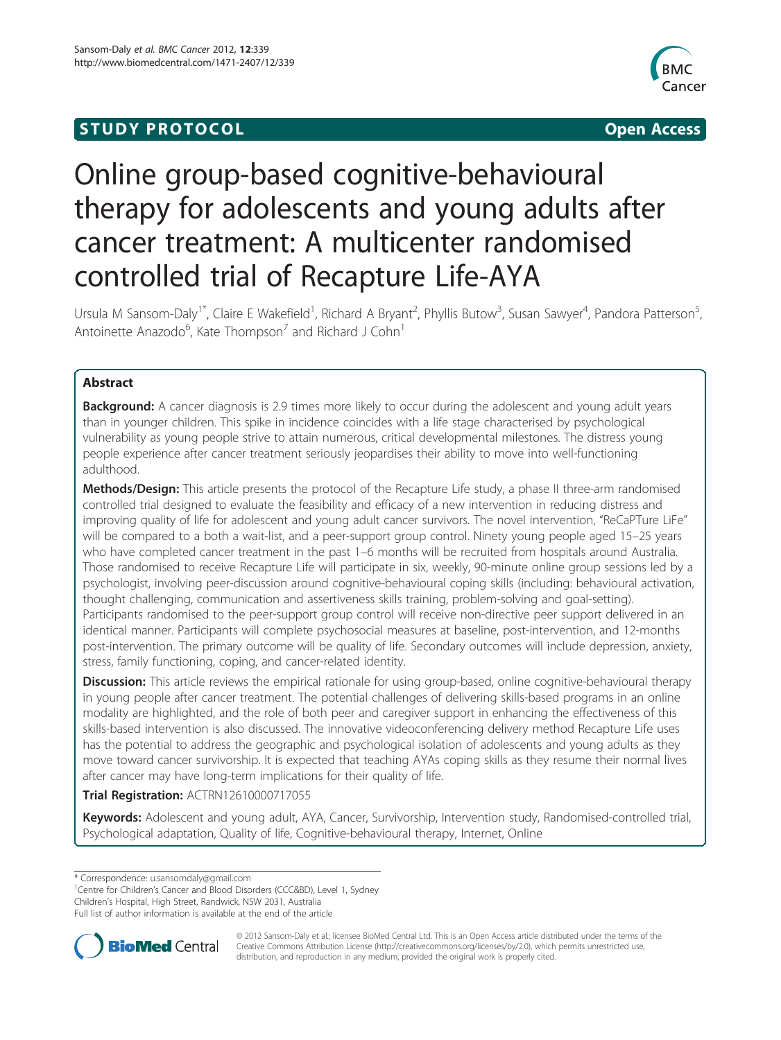# **STUDY PROTOCOL CONSUMING THE STUDY PROTOCOL**



# Online group-based cognitive-behavioural therapy for adolescents and young adults after cancer treatment: A multicenter randomised controlled trial of Recapture Life-AYA

Ursula M Sansom-Daly<sup>1\*</sup>, Claire E Wakefield<sup>1</sup>, Richard A Bryant<sup>2</sup>, Phyllis Butow<sup>3</sup>, Susan Sawyer<sup>4</sup>, Pandora Patterson<sup>5</sup> , Antoinette Anazodo<sup>6</sup>, Kate Thompson<sup>7</sup> and Richard J Cohn<sup>1</sup>

# Abstract

Background: A cancer diagnosis is 2.9 times more likely to occur during the adolescent and young adult years than in younger children. This spike in incidence coincides with a life stage characterised by psychological vulnerability as young people strive to attain numerous, critical developmental milestones. The distress young people experience after cancer treatment seriously jeopardises their ability to move into well-functioning adulthood.

Methods/Design: This article presents the protocol of the Recapture Life study, a phase II three-arm randomised controlled trial designed to evaluate the feasibility and efficacy of a new intervention in reducing distress and improving quality of life for adolescent and young adult cancer survivors. The novel intervention, "ReCaPTure LiFe" will be compared to a both a wait-list, and a peer-support group control. Ninety young people aged 15–25 years who have completed cancer treatment in the past 1–6 months will be recruited from hospitals around Australia. Those randomised to receive Recapture Life will participate in six, weekly, 90-minute online group sessions led by a psychologist, involving peer-discussion around cognitive-behavioural coping skills (including: behavioural activation, thought challenging, communication and assertiveness skills training, problem-solving and goal-setting). Participants randomised to the peer-support group control will receive non-directive peer support delivered in an identical manner. Participants will complete psychosocial measures at baseline, post-intervention, and 12-months post-intervention. The primary outcome will be quality of life. Secondary outcomes will include depression, anxiety, stress, family functioning, coping, and cancer-related identity.

Discussion: This article reviews the empirical rationale for using group-based, online cognitive-behavioural therapy in young people after cancer treatment. The potential challenges of delivering skills-based programs in an online modality are highlighted, and the role of both peer and caregiver support in enhancing the effectiveness of this skills-based intervention is also discussed. The innovative videoconferencing delivery method Recapture Life uses has the potential to address the geographic and psychological isolation of adolescents and young adults as they move toward cancer survivorship. It is expected that teaching AYAs coping skills as they resume their normal lives after cancer may have long-term implications for their quality of life.

Trial Registration: ACTRN12610000717055

Keywords: Adolescent and young adult, AYA, Cancer, Survivorship, Intervention study, Randomised-controlled trial, Psychological adaptation, Quality of life, Cognitive-behavioural therapy, Internet, Online

\* Correspondence: [u.sansomdaly@gmail.com](mailto:u.sansomdaly@gmail.com) <sup>1</sup>

<sup>1</sup> Centre for Children's Cancer and Blood Disorders (CCC&BD), Level 1, Sydney

Children's Hospital, High Street, Randwick, NSW 2031, Australia

Full list of author information is available at the end of the article



© 2012 Sansom-Daly et al.; licensee BioMed Central Ltd. This is an Open Access article distributed under the terms of the Creative Commons Attribution License (<http://creativecommons.org/licenses/by/2.0>), which permits unrestricted use, distribution, and reproduction in any medium, provided the original work is properly cited.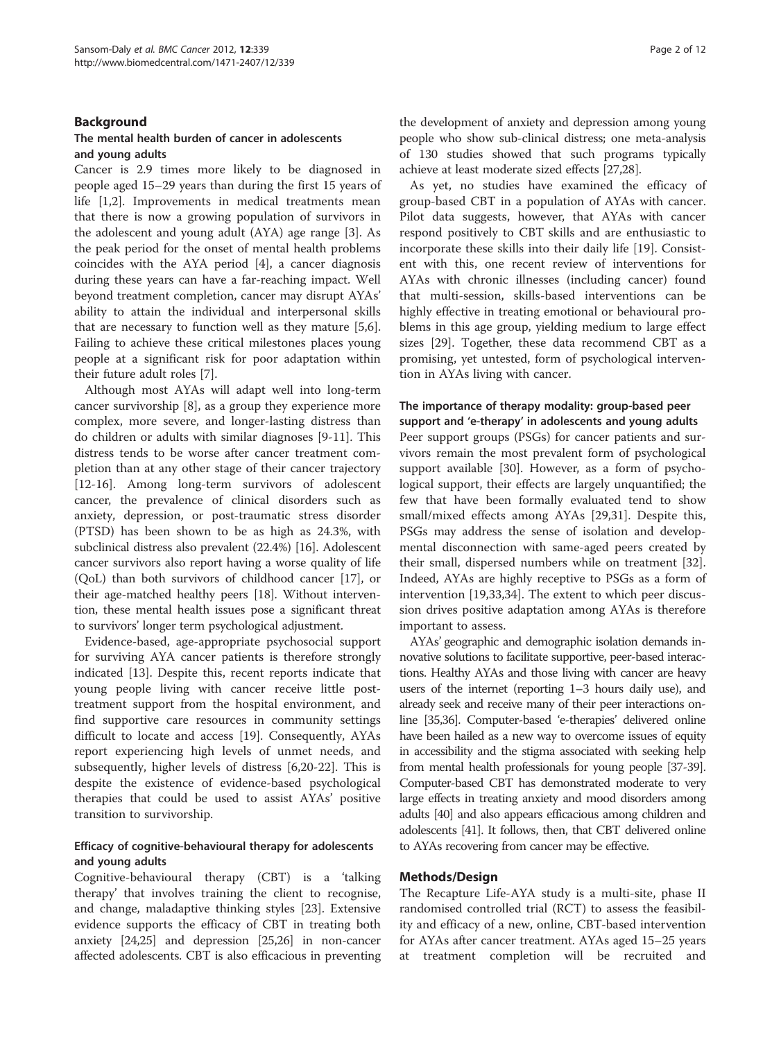#### Background

# The mental health burden of cancer in adolescents and young adults

Cancer is 2.9 times more likely to be diagnosed in people aged 15–29 years than during the first 15 years of life [\[1,2](#page-9-0)]. Improvements in medical treatments mean that there is now a growing population of survivors in the adolescent and young adult (AYA) age range [[3\]](#page-9-0). As the peak period for the onset of mental health problems coincides with the AYA period [[4](#page-9-0)], a cancer diagnosis during these years can have a far-reaching impact. Well beyond treatment completion, cancer may disrupt AYAs' ability to attain the individual and interpersonal skills that are necessary to function well as they mature [\[5,6](#page-9-0)]. Failing to achieve these critical milestones places young people at a significant risk for poor adaptation within their future adult roles [[7\]](#page-9-0).

Although most AYAs will adapt well into long-term cancer survivorship [[8\]](#page-9-0), as a group they experience more complex, more severe, and longer-lasting distress than do children or adults with similar diagnoses [\[9](#page-9-0)-[11\]](#page-9-0). This distress tends to be worse after cancer treatment completion than at any other stage of their cancer trajectory [[12-16](#page-9-0)]. Among long-term survivors of adolescent cancer, the prevalence of clinical disorders such as anxiety, depression, or post-traumatic stress disorder (PTSD) has been shown to be as high as 24.3%, with subclinical distress also prevalent (22.4%) [\[16\]](#page-9-0). Adolescent cancer survivors also report having a worse quality of life (QoL) than both survivors of childhood cancer [\[17](#page-9-0)], or their age-matched healthy peers [[18](#page-9-0)]. Without intervention, these mental health issues pose a significant threat to survivors' longer term psychological adjustment.

Evidence-based, age-appropriate psychosocial support for surviving AYA cancer patients is therefore strongly indicated [\[13\]](#page-9-0). Despite this, recent reports indicate that young people living with cancer receive little posttreatment support from the hospital environment, and find supportive care resources in community settings difficult to locate and access [[19](#page-9-0)]. Consequently, AYAs report experiencing high levels of unmet needs, and subsequently, higher levels of distress [\[6,20](#page-9-0)-[22\]](#page-9-0). This is despite the existence of evidence-based psychological therapies that could be used to assist AYAs' positive transition to survivorship.

# Efficacy of cognitive-behavioural therapy for adolescents and young adults

Cognitive-behavioural therapy (CBT) is a 'talking therapy' that involves training the client to recognise, and change, maladaptive thinking styles [\[23](#page-9-0)]. Extensive evidence supports the efficacy of CBT in treating both anxiety [[24,25](#page-9-0)] and depression [[25,26\]](#page-9-0) in non-cancer affected adolescents. CBT is also efficacious in preventing

the development of anxiety and depression among young people who show sub-clinical distress; one meta-analysis of 130 studies showed that such programs typically achieve at least moderate sized effects [\[27,28](#page-9-0)].

As yet, no studies have examined the efficacy of group-based CBT in a population of AYAs with cancer. Pilot data suggests, however, that AYAs with cancer respond positively to CBT skills and are enthusiastic to incorporate these skills into their daily life [\[19](#page-9-0)]. Consistent with this, one recent review of interventions for AYAs with chronic illnesses (including cancer) found that multi-session, skills-based interventions can be highly effective in treating emotional or behavioural problems in this age group, yielding medium to large effect sizes [[29\]](#page-9-0). Together, these data recommend CBT as a promising, yet untested, form of psychological intervention in AYAs living with cancer.

# The importance of therapy modality: group-based peer support and 'e-therapy' in adolescents and young adults

Peer support groups (PSGs) for cancer patients and survivors remain the most prevalent form of psychological support available [[30\]](#page-9-0). However, as a form of psychological support, their effects are largely unquantified; the few that have been formally evaluated tend to show small/mixed effects among AYAs [\[29,31\]](#page-9-0). Despite this, PSGs may address the sense of isolation and developmental disconnection with same-aged peers created by their small, dispersed numbers while on treatment [\[32](#page-9-0)]. Indeed, AYAs are highly receptive to PSGs as a form of intervention [[19,33,](#page-9-0)[34\]](#page-10-0). The extent to which peer discussion drives positive adaptation among AYAs is therefore important to assess.

AYAs' geographic and demographic isolation demands innovative solutions to facilitate supportive, peer-based interactions. Healthy AYAs and those living with cancer are heavy users of the internet (reporting 1–3 hours daily use), and already seek and receive many of their peer interactions online [\[35,36\]](#page-10-0). Computer-based 'e-therapies' delivered online have been hailed as a new way to overcome issues of equity in accessibility and the stigma associated with seeking help from mental health professionals for young people [\[37-39\]](#page-10-0). Computer-based CBT has demonstrated moderate to very large effects in treating anxiety and mood disorders among adults [\[40\]](#page-10-0) and also appears efficacious among children and adolescents [\[41\]](#page-10-0). It follows, then, that CBT delivered online to AYAs recovering from cancer may be effective.

# Methods/Design

The Recapture Life-AYA study is a multi-site, phase II randomised controlled trial (RCT) to assess the feasibility and efficacy of a new, online, CBT-based intervention for AYAs after cancer treatment. AYAs aged 15–25 years at treatment completion will be recruited and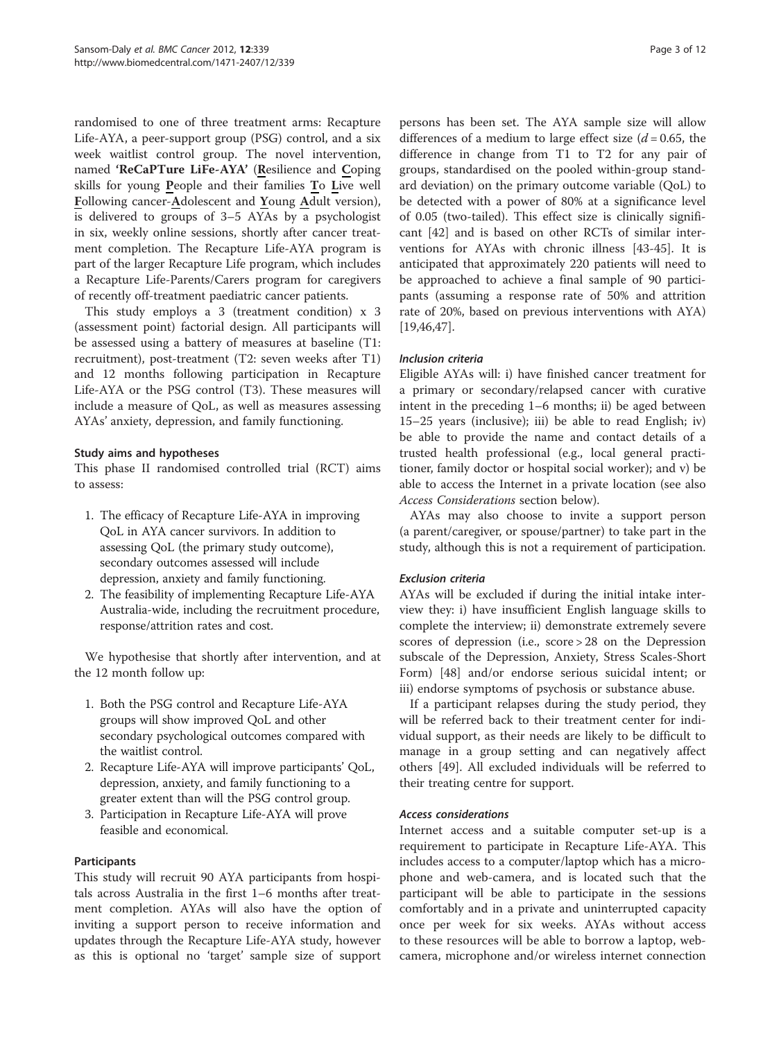randomised to one of three treatment arms: Recapture Life-AYA, a peer-support group (PSG) control, and a six week waitlist control group. The novel intervention, named 'ReCaPTure LiFe-AYA' (Resilience and Coping skills for young People and their families To Live well Following cancer-Adolescent and Young Adult version), is delivered to groups of 3–5 AYAs by a psychologist in six, weekly online sessions, shortly after cancer treatment completion. The Recapture Life-AYA program is part of the larger Recapture Life program, which includes a Recapture Life-Parents/Carers program for caregivers of recently off-treatment paediatric cancer patients.

This study employs a 3 (treatment condition) x 3 (assessment point) factorial design. All participants will be assessed using a battery of measures at baseline (T1: recruitment), post-treatment (T2: seven weeks after T1) and 12 months following participation in Recapture Life-AYA or the PSG control (T3). These measures will include a measure of QoL, as well as measures assessing AYAs' anxiety, depression, and family functioning.

#### Study aims and hypotheses

This phase II randomised controlled trial (RCT) aims to assess:

- 1. The efficacy of Recapture Life-AYA in improving QoL in AYA cancer survivors. In addition to assessing QoL (the primary study outcome), secondary outcomes assessed will include depression, anxiety and family functioning.
- 2. The feasibility of implementing Recapture Life-AYA Australia-wide, including the recruitment procedure, response/attrition rates and cost.

We hypothesise that shortly after intervention, and at the 12 month follow up:

- 1. Both the PSG control and Recapture Life-AYA groups will show improved QoL and other secondary psychological outcomes compared with the waitlist control.
- 2. Recapture Life-AYA will improve participants' QoL, depression, anxiety, and family functioning to a greater extent than will the PSG control group.
- 3. Participation in Recapture Life-AYA will prove feasible and economical.

#### Participants

This study will recruit 90 AYA participants from hospitals across Australia in the first 1–6 months after treatment completion. AYAs will also have the option of inviting a support person to receive information and updates through the Recapture Life-AYA study, however as this is optional no 'target' sample size of support

persons has been set. The AYA sample size will allow differences of a medium to large effect size  $(d = 0.65,$  the difference in change from T1 to T2 for any pair of groups, standardised on the pooled within-group standard deviation) on the primary outcome variable (QoL) to be detected with a power of 80% at a significance level of 0.05 (two-tailed). This effect size is clinically significant [[42](#page-10-0)] and is based on other RCTs of similar interventions for AYAs with chronic illness [[43-45\]](#page-10-0). It is anticipated that approximately 220 patients will need to be approached to achieve a final sample of 90 participants (assuming a response rate of 50% and attrition rate of 20%, based on previous interventions with AYA) [[19,](#page-9-0)[46,47\]](#page-10-0).

#### Inclusion criteria

Eligible AYAs will: i) have finished cancer treatment for a primary or secondary/relapsed cancer with curative intent in the preceding 1–6 months; ii) be aged between 15–25 years (inclusive); iii) be able to read English; iv) be able to provide the name and contact details of a trusted health professional (e.g., local general practitioner, family doctor or hospital social worker); and v) be able to access the Internet in a private location (see also Access Considerations section below).

AYAs may also choose to invite a support person (a parent/caregiver, or spouse/partner) to take part in the study, although this is not a requirement of participation.

#### Exclusion criteria

AYAs will be excluded if during the initial intake interview they: i) have insufficient English language skills to complete the interview; ii) demonstrate extremely severe scores of depression (i.e., score > 28 on the Depression subscale of the Depression, Anxiety, Stress Scales-Short Form) [[48](#page-10-0)] and/or endorse serious suicidal intent; or iii) endorse symptoms of psychosis or substance abuse.

If a participant relapses during the study period, they will be referred back to their treatment center for individual support, as their needs are likely to be difficult to manage in a group setting and can negatively affect others [\[49](#page-10-0)]. All excluded individuals will be referred to their treating centre for support.

#### Access considerations

Internet access and a suitable computer set-up is a requirement to participate in Recapture Life-AYA. This includes access to a computer/laptop which has a microphone and web-camera, and is located such that the participant will be able to participate in the sessions comfortably and in a private and uninterrupted capacity once per week for six weeks. AYAs without access to these resources will be able to borrow a laptop, webcamera, microphone and/or wireless internet connection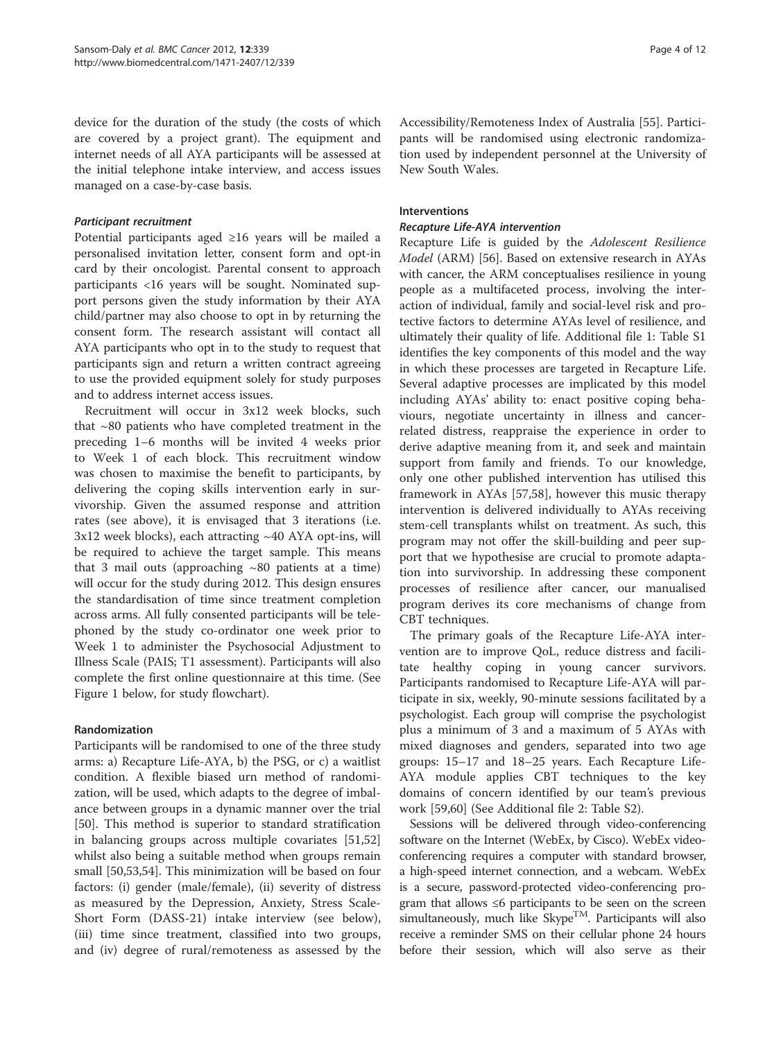device for the duration of the study (the costs of which are covered by a project grant). The equipment and internet needs of all AYA participants will be assessed at the initial telephone intake interview, and access issues managed on a case-by-case basis.

#### Participant recruitment

Potential participants aged ≥16 years will be mailed a personalised invitation letter, consent form and opt-in card by their oncologist. Parental consent to approach participants <16 years will be sought. Nominated support persons given the study information by their AYA child/partner may also choose to opt in by returning the consent form. The research assistant will contact all AYA participants who opt in to the study to request that participants sign and return a written contract agreeing to use the provided equipment solely for study purposes and to address internet access issues.

Recruitment will occur in 3x12 week blocks, such that ~80 patients who have completed treatment in the preceding 1–6 months will be invited 4 weeks prior to Week 1 of each block. This recruitment window was chosen to maximise the benefit to participants, by delivering the coping skills intervention early in survivorship. Given the assumed response and attrition rates (see above), it is envisaged that 3 iterations (i.e. 3x12 week blocks), each attracting ~40 AYA opt-ins, will be required to achieve the target sample. This means that 3 mail outs (approaching  $~80$  patients at a time) will occur for the study during 2012. This design ensures the standardisation of time since treatment completion across arms. All fully consented participants will be telephoned by the study co-ordinator one week prior to Week 1 to administer the Psychosocial Adjustment to Illness Scale (PAIS; T1 assessment). Participants will also complete the first online questionnaire at this time. (See Figure [1](#page-4-0) below, for study flowchart).

#### Randomization

Participants will be randomised to one of the three study arms: a) Recapture Life-AYA, b) the PSG, or c) a waitlist condition. A flexible biased urn method of randomization, will be used, which adapts to the degree of imbalance between groups in a dynamic manner over the trial [[50\]](#page-10-0). This method is superior to standard stratification in balancing groups across multiple covariates [[51](#page-10-0),[52](#page-10-0)] whilst also being a suitable method when groups remain small [\[50,53,54\]](#page-10-0). This minimization will be based on four factors: (i) gender (male/female), (ii) severity of distress as measured by the Depression, Anxiety, Stress Scale-Short Form (DASS-21) intake interview (see below), (iii) time since treatment, classified into two groups, and (iv) degree of rural/remoteness as assessed by the Accessibility/Remoteness Index of Australia [[55](#page-10-0)]. Participants will be randomised using electronic randomization used by independent personnel at the University of New South Wales.

#### Interventions

#### Recapture Life-AYA intervention

Recapture Life is guided by the Adolescent Resilience Model (ARM) [\[56](#page-10-0)]. Based on extensive research in AYAs with cancer, the ARM conceptualises resilience in young people as a multifaceted process, involving the interaction of individual, family and social-level risk and protective factors to determine AYAs level of resilience, and ultimately their quality of life. Additional file [1:](#page-8-0) Table S1 identifies the key components of this model and the way in which these processes are targeted in Recapture Life. Several adaptive processes are implicated by this model including AYAs' ability to: enact positive coping behaviours, negotiate uncertainty in illness and cancerrelated distress, reappraise the experience in order to derive adaptive meaning from it, and seek and maintain support from family and friends. To our knowledge, only one other published intervention has utilised this framework in AYAs [[57,58](#page-10-0)], however this music therapy intervention is delivered individually to AYAs receiving stem-cell transplants whilst on treatment. As such, this program may not offer the skill-building and peer support that we hypothesise are crucial to promote adaptation into survivorship. In addressing these component processes of resilience after cancer, our manualised program derives its core mechanisms of change from CBT techniques.

The primary goals of the Recapture Life-AYA intervention are to improve QoL, reduce distress and facilitate healthy coping in young cancer survivors. Participants randomised to Recapture Life-AYA will participate in six, weekly, 90-minute sessions facilitated by a psychologist. Each group will comprise the psychologist plus a minimum of 3 and a maximum of 5 AYAs with mixed diagnoses and genders, separated into two age groups: 15–17 and 18–25 years. Each Recapture Life-AYA module applies CBT techniques to the key domains of concern identified by our team's previous work [\[59,60](#page-10-0)] (See Additional file [2:](#page-9-0) Table S2).

Sessions will be delivered through video-conferencing software on the Internet (WebEx, by Cisco). WebEx videoconferencing requires a computer with standard browser, a high-speed internet connection, and a webcam. WebEx is a secure, password-protected video-conferencing program that allows ≤6 participants to be seen on the screen simultaneously, much like  $\text{Skype}^{\text{TM}}$ . Participants will also receive a reminder SMS on their cellular phone 24 hours before their session, which will also serve as their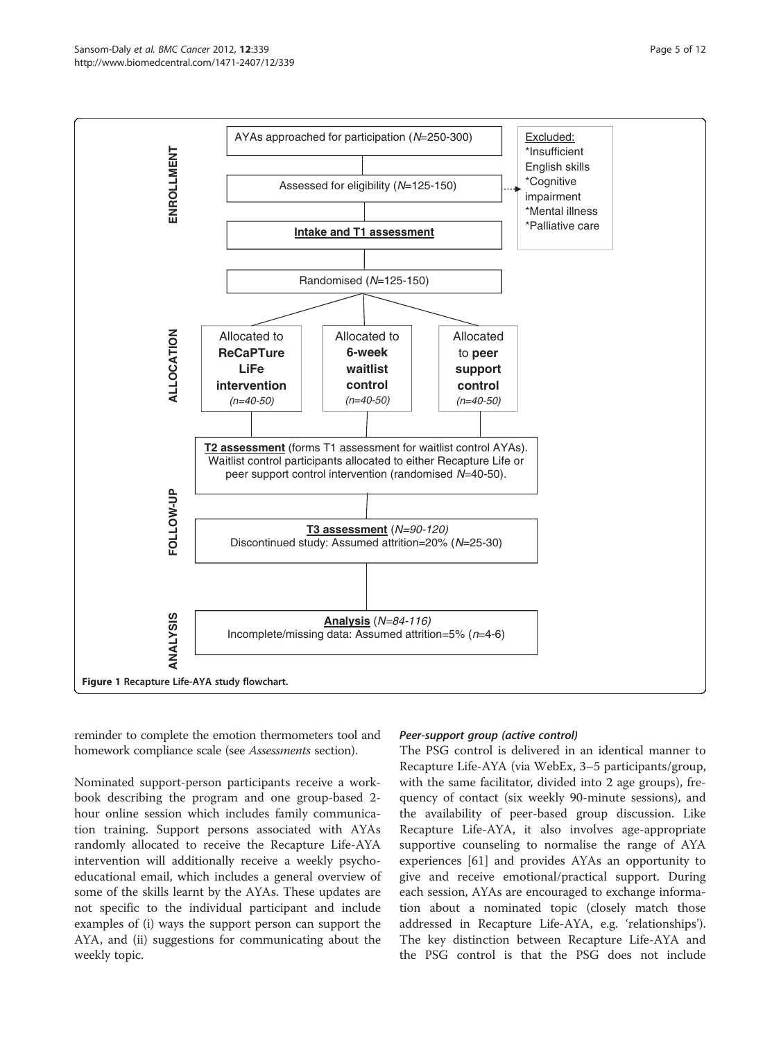<span id="page-4-0"></span>

reminder to complete the emotion thermometers tool and homework compliance scale (see Assessments section).

Nominated support-person participants receive a workbook describing the program and one group-based 2 hour online session which includes family communication training. Support persons associated with AYAs randomly allocated to receive the Recapture Life-AYA intervention will additionally receive a weekly psychoeducational email, which includes a general overview of some of the skills learnt by the AYAs. These updates are not specific to the individual participant and include examples of (i) ways the support person can support the AYA, and (ii) suggestions for communicating about the weekly topic.

# Peer-support group (active control)

The PSG control is delivered in an identical manner to Recapture Life-AYA (via WebEx, 3–5 participants/group, with the same facilitator, divided into 2 age groups), frequency of contact (six weekly 90-minute sessions), and the availability of peer-based group discussion. Like Recapture Life-AYA, it also involves age-appropriate supportive counseling to normalise the range of AYA experiences [[61\]](#page-10-0) and provides AYAs an opportunity to give and receive emotional/practical support. During each session, AYAs are encouraged to exchange information about a nominated topic (closely match those addressed in Recapture Life-AYA, e.g. 'relationships'). The key distinction between Recapture Life-AYA and the PSG control is that the PSG does not include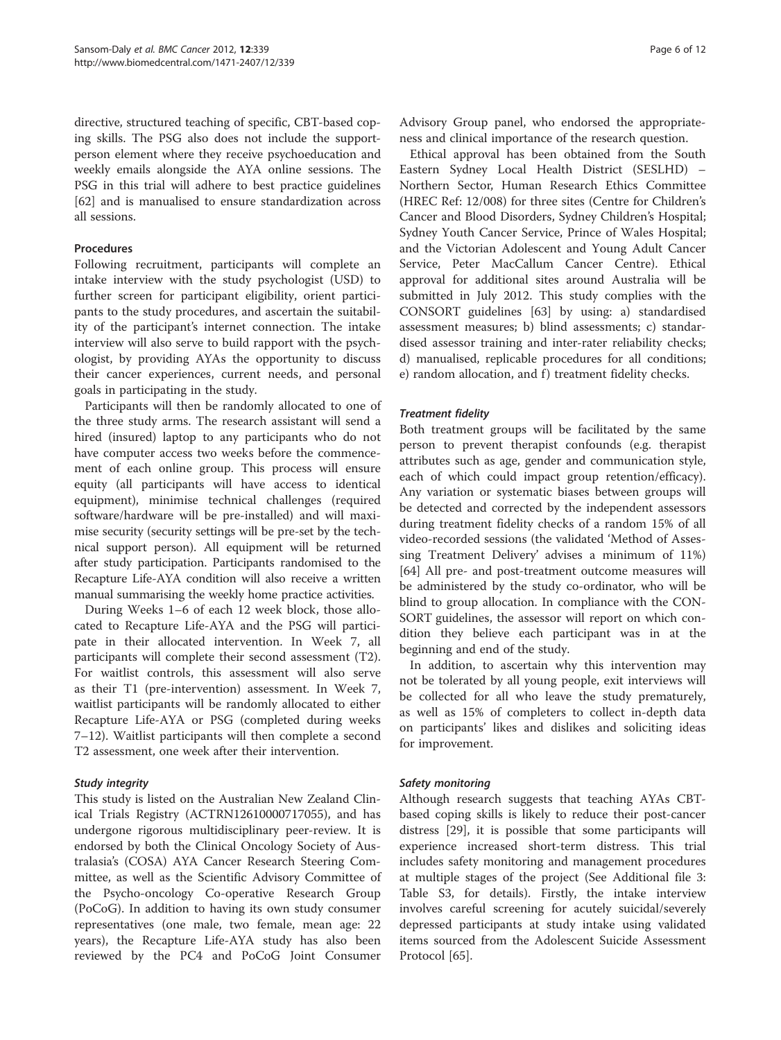directive, structured teaching of specific, CBT-based coping skills. The PSG also does not include the supportperson element where they receive psychoeducation and weekly emails alongside the AYA online sessions. The PSG in this trial will adhere to best practice guidelines [[62\]](#page-10-0) and is manualised to ensure standardization across all sessions.

#### Procedures

Following recruitment, participants will complete an intake interview with the study psychologist (USD) to further screen for participant eligibility, orient participants to the study procedures, and ascertain the suitability of the participant's internet connection. The intake interview will also serve to build rapport with the psychologist, by providing AYAs the opportunity to discuss their cancer experiences, current needs, and personal goals in participating in the study.

Participants will then be randomly allocated to one of the three study arms. The research assistant will send a hired (insured) laptop to any participants who do not have computer access two weeks before the commencement of each online group. This process will ensure equity (all participants will have access to identical equipment), minimise technical challenges (required software/hardware will be pre-installed) and will maximise security (security settings will be pre-set by the technical support person). All equipment will be returned after study participation. Participants randomised to the Recapture Life-AYA condition will also receive a written manual summarising the weekly home practice activities.

During Weeks 1–6 of each 12 week block, those allocated to Recapture Life-AYA and the PSG will participate in their allocated intervention. In Week 7, all participants will complete their second assessment (T2). For waitlist controls, this assessment will also serve as their T1 (pre-intervention) assessment. In Week 7, waitlist participants will be randomly allocated to either Recapture Life-AYA or PSG (completed during weeks 7–12). Waitlist participants will then complete a second T2 assessment, one week after their intervention.

# Study integrity

This study is listed on the Australian New Zealand Clinical Trials Registry (ACTRN12610000717055), and has undergone rigorous multidisciplinary peer-review. It is endorsed by both the Clinical Oncology Society of Australasia's (COSA) AYA Cancer Research Steering Committee, as well as the Scientific Advisory Committee of the Psycho-oncology Co-operative Research Group (PoCoG). In addition to having its own study consumer representatives (one male, two female, mean age: 22 years), the Recapture Life-AYA study has also been reviewed by the PC4 and PoCoG Joint Consumer Advisory Group panel, who endorsed the appropriateness and clinical importance of the research question.

Ethical approval has been obtained from the South Eastern Sydney Local Health District (SESLHD) – Northern Sector, Human Research Ethics Committee (HREC Ref: 12/008) for three sites (Centre for Children's Cancer and Blood Disorders, Sydney Children's Hospital; Sydney Youth Cancer Service, Prince of Wales Hospital; and the Victorian Adolescent and Young Adult Cancer Service, Peter MacCallum Cancer Centre). Ethical approval for additional sites around Australia will be submitted in July 2012. This study complies with the CONSORT guidelines [[63\]](#page-10-0) by using: a) standardised assessment measures; b) blind assessments; c) standardised assessor training and inter-rater reliability checks; d) manualised, replicable procedures for all conditions; e) random allocation, and f) treatment fidelity checks.

# Treatment fidelity

Both treatment groups will be facilitated by the same person to prevent therapist confounds (e.g. therapist attributes such as age, gender and communication style, each of which could impact group retention/efficacy). Any variation or systematic biases between groups will be detected and corrected by the independent assessors during treatment fidelity checks of a random 15% of all video-recorded sessions (the validated 'Method of Assessing Treatment Delivery' advises a minimum of 11%) [[64\]](#page-10-0) All pre- and post-treatment outcome measures will be administered by the study co-ordinator, who will be blind to group allocation. In compliance with the CON-SORT guidelines, the assessor will report on which condition they believe each participant was in at the beginning and end of the study.

In addition, to ascertain why this intervention may not be tolerated by all young people, exit interviews will be collected for all who leave the study prematurely, as well as 15% of completers to collect in-depth data on participants' likes and dislikes and soliciting ideas for improvement.

# Safety monitoring

Although research suggests that teaching AYAs CBTbased coping skills is likely to reduce their post-cancer distress [\[29](#page-9-0)], it is possible that some participants will experience increased short-term distress. This trial includes safety monitoring and management procedures at multiple stages of the project (See Additional file [3](#page-9-0): Table S3, for details). Firstly, the intake interview involves careful screening for acutely suicidal/severely depressed participants at study intake using validated items sourced from the Adolescent Suicide Assessment Protocol<sup>[\[65](#page-10-0)]</sup>.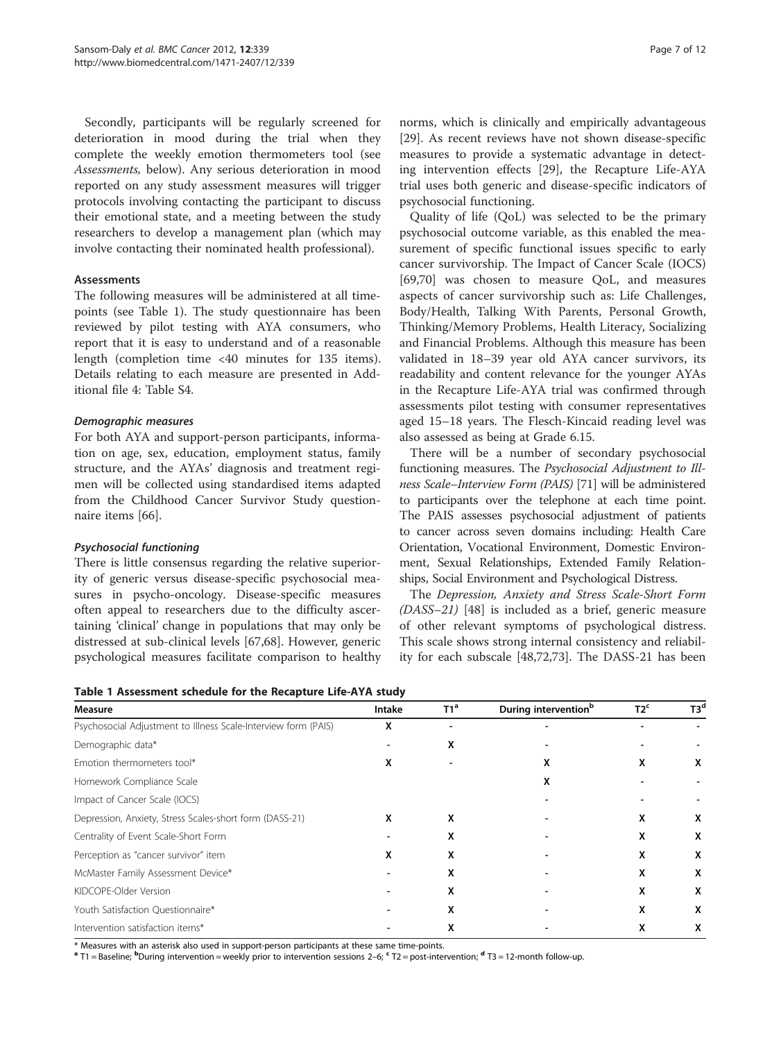Secondly, participants will be regularly screened for deterioration in mood during the trial when they complete the weekly emotion thermometers tool (see Assessments, below). Any serious deterioration in mood reported on any study assessment measures will trigger protocols involving contacting the participant to discuss their emotional state, and a meeting between the study researchers to develop a management plan (which may involve contacting their nominated health professional).

#### Assessments

The following measures will be administered at all timepoints (see Table 1). The study questionnaire has been reviewed by pilot testing with AYA consumers, who report that it is easy to understand and of a reasonable length (completion time <40 minutes for 135 items). Details relating to each measure are presented in Additional file [4:](#page-9-0) Table S4.

#### Demographic measures

For both AYA and support-person participants, information on age, sex, education, employment status, family structure, and the AYAs' diagnosis and treatment regimen will be collected using standardised items adapted from the Childhood Cancer Survivor Study questionnaire items [\[66](#page-10-0)].

# Psychosocial functioning

There is little consensus regarding the relative superiority of generic versus disease-specific psychosocial measures in psycho-oncology. Disease-specific measures often appeal to researchers due to the difficulty ascertaining 'clinical' change in populations that may only be distressed at sub-clinical levels [\[67,68](#page-10-0)]. However, generic psychological measures facilitate comparison to healthy

norms, which is clinically and empirically advantageous [[29\]](#page-9-0). As recent reviews have not shown disease-specific measures to provide a systematic advantage in detecting intervention effects [\[29\]](#page-9-0), the Recapture Life-AYA trial uses both generic and disease-specific indicators of psychosocial functioning.

Quality of life (QoL) was selected to be the primary psychosocial outcome variable, as this enabled the measurement of specific functional issues specific to early cancer survivorship. The Impact of Cancer Scale (IOCS) [[69,70\]](#page-10-0) was chosen to measure QoL, and measures aspects of cancer survivorship such as: Life Challenges, Body/Health, Talking With Parents, Personal Growth, Thinking/Memory Problems, Health Literacy, Socializing and Financial Problems. Although this measure has been validated in 18–39 year old AYA cancer survivors, its readability and content relevance for the younger AYAs in the Recapture Life-AYA trial was confirmed through assessments pilot testing with consumer representatives aged 15–18 years. The Flesch-Kincaid reading level was also assessed as being at Grade 6.15.

There will be a number of secondary psychosocial functioning measures. The Psychosocial Adjustment to Illness Scale–Interview Form (PAIS) [\[71](#page-10-0)] will be administered to participants over the telephone at each time point. The PAIS assesses psychosocial adjustment of patients to cancer across seven domains including: Health Care Orientation, Vocational Environment, Domestic Environment, Sexual Relationships, Extended Family Relationships, Social Environment and Psychological Distress.

The Depression, Anxiety and Stress Scale-Short Form (DASS–21) [[48\]](#page-10-0) is included as a brief, generic measure of other relevant symptoms of psychological distress. This scale shows strong internal consistency and reliability for each subscale [\[48,72,73\]](#page-10-0). The DASS-21 has been

|  |  | Table 1 Assessment schedule for the Recapture Life-AYA study |  |  |  |  |  |
|--|--|--------------------------------------------------------------|--|--|--|--|--|
|--|--|--------------------------------------------------------------|--|--|--|--|--|

| Measure                                                        | Intake | T1 <sup>a</sup> | During intervention <sup>b</sup> | T2 <sup>c</sup> | T3 <sup>d</sup> |
|----------------------------------------------------------------|--------|-----------------|----------------------------------|-----------------|-----------------|
| Psychosocial Adjustment to Illness Scale-Interview form (PAIS) | X      |                 |                                  |                 |                 |
| Demographic data*                                              |        | х               |                                  |                 |                 |
| Emotion thermometers tool*                                     | x      |                 | x                                | x               | x               |
| Homework Compliance Scale                                      |        |                 | x                                |                 |                 |
| Impact of Cancer Scale (IOCS)                                  |        |                 |                                  |                 |                 |
| Depression, Anxiety, Stress Scales-short form (DASS-21)        | x      | x               |                                  | х               | х               |
| Centrality of Event Scale-Short Form                           |        | x               |                                  | x               | х               |
| Perception as "cancer survivor" item                           | x      | x               |                                  | x               | x               |
| McMaster Family Assessment Device*                             |        | x               |                                  | x               | x               |
| KIDCOPE-Older Version                                          |        | x               |                                  | x               | х               |
| Youth Satisfaction Questionnaire*                              |        | x               |                                  | x               | X               |
| Intervention satisfaction items*                               |        | x               |                                  | x               | x               |

\* Measures with an asterisk also used in support-person participants at these same time-points.

<sup>a</sup> T1 = Baseline; <sup>b</sup>During intervention = weekly prior to intervention sessions 2–6; c T2 = post-intervention; <sup>d</sup> T3 = 12-month follow-up.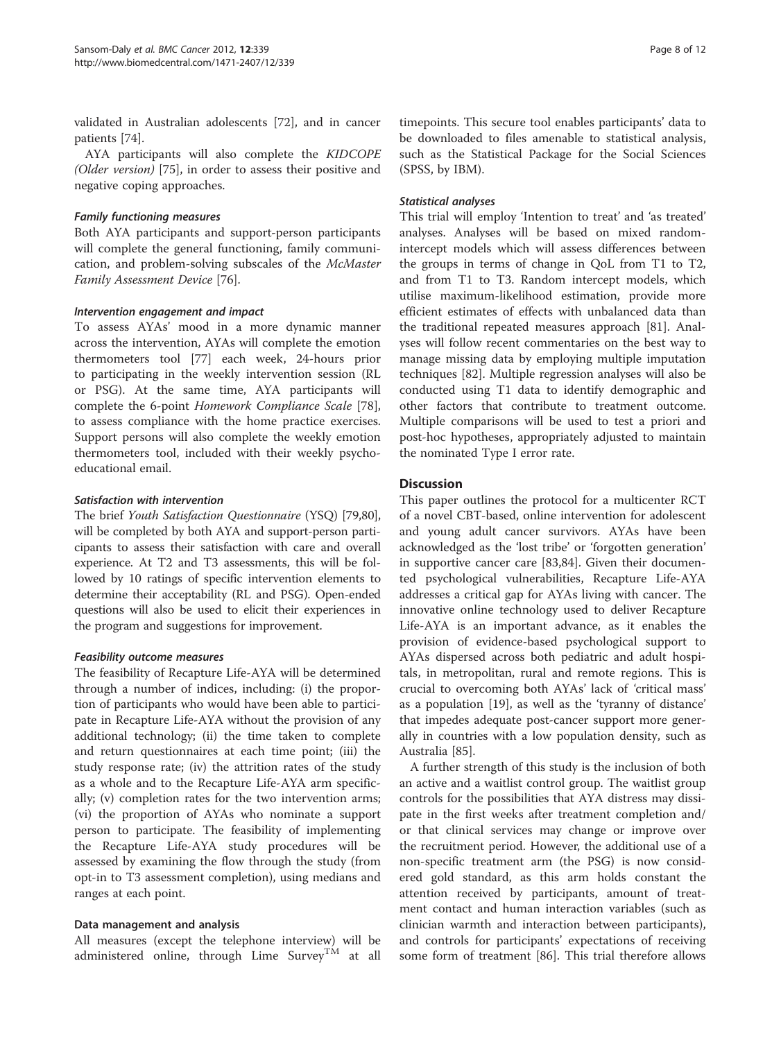validated in Australian adolescents [[72\]](#page-10-0), and in cancer patients [\[74\]](#page-10-0).

AYA participants will also complete the KIDCOPE (Older version) [\[75](#page-10-0)], in order to assess their positive and negative coping approaches.

#### Family functioning measures

Both AYA participants and support-person participants will complete the general functioning, family communication, and problem-solving subscales of the McMaster Family Assessment Device [\[76](#page-10-0)].

#### Intervention engagement and impact

To assess AYAs' mood in a more dynamic manner across the intervention, AYAs will complete the emotion thermometers tool [[77](#page-10-0)] each week, 24-hours prior to participating in the weekly intervention session (RL or PSG). At the same time, AYA participants will complete the 6-point Homework Compliance Scale [\[78](#page-10-0)], to assess compliance with the home practice exercises. Support persons will also complete the weekly emotion thermometers tool, included with their weekly psychoeducational email.

#### Satisfaction with intervention

The brief Youth Satisfaction Questionnaire (YSQ) [\[79,80](#page-10-0)], will be completed by both AYA and support-person participants to assess their satisfaction with care and overall experience. At T2 and T3 assessments, this will be followed by 10 ratings of specific intervention elements to determine their acceptability (RL and PSG). Open-ended questions will also be used to elicit their experiences in the program and suggestions for improvement.

#### Feasibility outcome measures

The feasibility of Recapture Life-AYA will be determined through a number of indices, including: (i) the proportion of participants who would have been able to participate in Recapture Life-AYA without the provision of any additional technology; (ii) the time taken to complete and return questionnaires at each time point; (iii) the study response rate; (iv) the attrition rates of the study as a whole and to the Recapture Life-AYA arm specifically; (v) completion rates for the two intervention arms; (vi) the proportion of AYAs who nominate a support person to participate. The feasibility of implementing the Recapture Life-AYA study procedures will be assessed by examining the flow through the study (from opt-in to T3 assessment completion), using medians and ranges at each point.

#### Data management and analysis

All measures (except the telephone interview) will be administered online, through Lime  $\text{Survey}^{\text{TM}}$  at all

timepoints. This secure tool enables participants' data to be downloaded to files amenable to statistical analysis, such as the Statistical Package for the Social Sciences (SPSS, by IBM).

#### Statistical analyses

This trial will employ 'Intention to treat' and 'as treated' analyses. Analyses will be based on mixed randomintercept models which will assess differences between the groups in terms of change in QoL from T1 to T2, and from T1 to T3. Random intercept models, which utilise maximum-likelihood estimation, provide more efficient estimates of effects with unbalanced data than the traditional repeated measures approach [\[81\]](#page-10-0). Analyses will follow recent commentaries on the best way to manage missing data by employing multiple imputation techniques [\[82\]](#page-10-0). Multiple regression analyses will also be conducted using T1 data to identify demographic and other factors that contribute to treatment outcome. Multiple comparisons will be used to test a priori and post-hoc hypotheses, appropriately adjusted to maintain the nominated Type I error rate.

# **Discussion**

This paper outlines the protocol for a multicenter RCT of a novel CBT-based, online intervention for adolescent and young adult cancer survivors. AYAs have been acknowledged as the 'lost tribe' or 'forgotten generation' in supportive cancer care [\[83,84](#page-10-0)]. Given their documented psychological vulnerabilities, Recapture Life-AYA addresses a critical gap for AYAs living with cancer. The innovative online technology used to deliver Recapture Life-AYA is an important advance, as it enables the provision of evidence-based psychological support to AYAs dispersed across both pediatric and adult hospitals, in metropolitan, rural and remote regions. This is crucial to overcoming both AYAs' lack of 'critical mass' as a population [[19\]](#page-9-0), as well as the 'tyranny of distance' that impedes adequate post-cancer support more generally in countries with a low population density, such as Australia [[85](#page-10-0)].

A further strength of this study is the inclusion of both an active and a waitlist control group. The waitlist group controls for the possibilities that AYA distress may dissipate in the first weeks after treatment completion and/ or that clinical services may change or improve over the recruitment period. However, the additional use of a non-specific treatment arm (the PSG) is now considered gold standard, as this arm holds constant the attention received by participants, amount of treatment contact and human interaction variables (such as clinician warmth and interaction between participants), and controls for participants' expectations of receiving some form of treatment [[86\]](#page-10-0). This trial therefore allows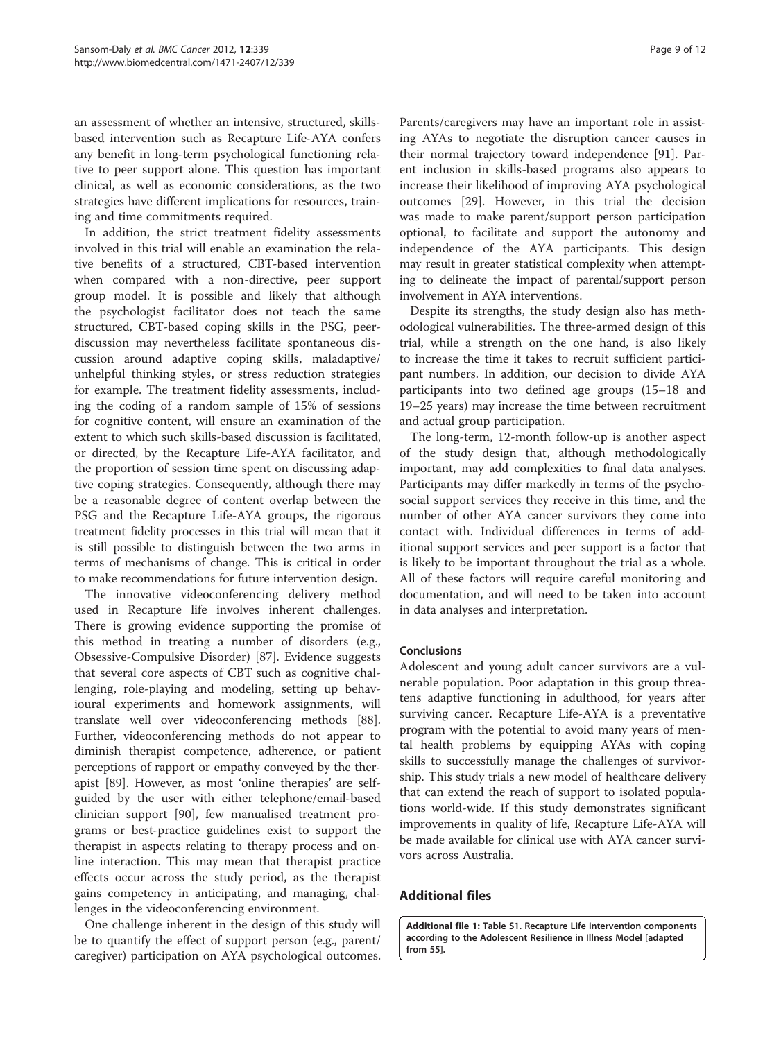<span id="page-8-0"></span>an assessment of whether an intensive, structured, skillsbased intervention such as Recapture Life-AYA confers any benefit in long-term psychological functioning relative to peer support alone. This question has important clinical, as well as economic considerations, as the two strategies have different implications for resources, training and time commitments required.

In addition, the strict treatment fidelity assessments involved in this trial will enable an examination the relative benefits of a structured, CBT-based intervention when compared with a non-directive, peer support group model. It is possible and likely that although the psychologist facilitator does not teach the same structured, CBT-based coping skills in the PSG, peerdiscussion may nevertheless facilitate spontaneous discussion around adaptive coping skills, maladaptive/ unhelpful thinking styles, or stress reduction strategies for example. The treatment fidelity assessments, including the coding of a random sample of 15% of sessions for cognitive content, will ensure an examination of the extent to which such skills-based discussion is facilitated, or directed, by the Recapture Life-AYA facilitator, and the proportion of session time spent on discussing adaptive coping strategies. Consequently, although there may be a reasonable degree of content overlap between the PSG and the Recapture Life-AYA groups, the rigorous treatment fidelity processes in this trial will mean that it is still possible to distinguish between the two arms in terms of mechanisms of change. This is critical in order to make recommendations for future intervention design.

The innovative videoconferencing delivery method used in Recapture life involves inherent challenges. There is growing evidence supporting the promise of this method in treating a number of disorders (e.g., Obsessive-Compulsive Disorder) [[87\]](#page-11-0). Evidence suggests that several core aspects of CBT such as cognitive challenging, role-playing and modeling, setting up behavioural experiments and homework assignments, will translate well over videoconferencing methods [\[88](#page-11-0)]. Further, videoconferencing methods do not appear to diminish therapist competence, adherence, or patient perceptions of rapport or empathy conveyed by the therapist [\[89](#page-11-0)]. However, as most 'online therapies' are selfguided by the user with either telephone/email-based clinician support [\[90](#page-11-0)], few manualised treatment programs or best-practice guidelines exist to support the therapist in aspects relating to therapy process and online interaction. This may mean that therapist practice effects occur across the study period, as the therapist gains competency in anticipating, and managing, challenges in the videoconferencing environment.

One challenge inherent in the design of this study will be to quantify the effect of support person (e.g., parent/ caregiver) participation on AYA psychological outcomes.

Parents/caregivers may have an important role in assisting AYAs to negotiate the disruption cancer causes in their normal trajectory toward independence [\[91\]](#page-11-0). Parent inclusion in skills-based programs also appears to increase their likelihood of improving AYA psychological outcomes [[29\]](#page-9-0). However, in this trial the decision was made to make parent/support person participation optional, to facilitate and support the autonomy and independence of the AYA participants. This design may result in greater statistical complexity when attempting to delineate the impact of parental/support person involvement in AYA interventions.

Despite its strengths, the study design also has methodological vulnerabilities. The three-armed design of this trial, while a strength on the one hand, is also likely to increase the time it takes to recruit sufficient participant numbers. In addition, our decision to divide AYA participants into two defined age groups (15–18 and 19–25 years) may increase the time between recruitment and actual group participation.

The long-term, 12-month follow-up is another aspect of the study design that, although methodologically important, may add complexities to final data analyses. Participants may differ markedly in terms of the psychosocial support services they receive in this time, and the number of other AYA cancer survivors they come into contact with. Individual differences in terms of additional support services and peer support is a factor that is likely to be important throughout the trial as a whole. All of these factors will require careful monitoring and documentation, and will need to be taken into account in data analyses and interpretation.

#### Conclusions

Adolescent and young adult cancer survivors are a vulnerable population. Poor adaptation in this group threatens adaptive functioning in adulthood, for years after surviving cancer. Recapture Life-AYA is a preventative program with the potential to avoid many years of mental health problems by equipping AYAs with coping skills to successfully manage the challenges of survivorship. This study trials a new model of healthcare delivery that can extend the reach of support to isolated populations world-wide. If this study demonstrates significant improvements in quality of life, Recapture Life-AYA will be made available for clinical use with AYA cancer survivors across Australia.

# Additional files

[Additional file 1:](http://www.biomedcentral.com/content/supplementary/1471-2407-12-339-S1.docx) Table S1. Recapture Life intervention components according to the Adolescent Resilience in Illness Model [adapted from 55].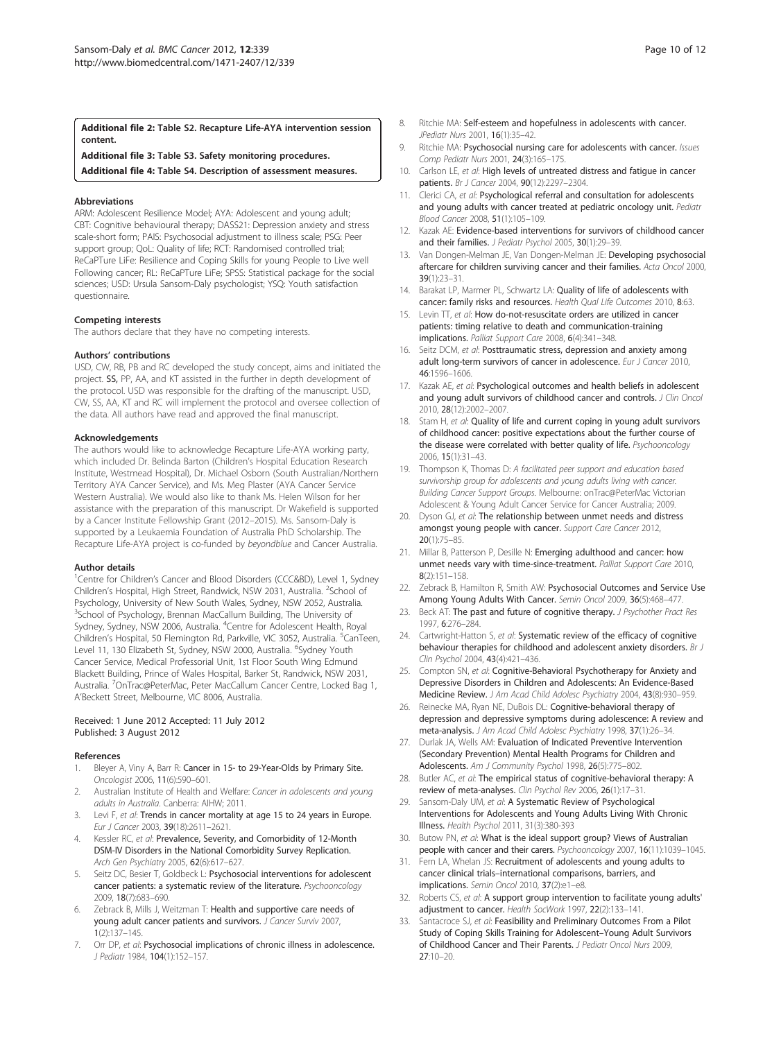<span id="page-9-0"></span>[Additional file 2:](http://www.biomedcentral.com/content/supplementary/1471-2407-12-339-S2.docx) Table S2. Recapture Life-AYA intervention session content.

[Additional file 3:](http://www.biomedcentral.com/content/supplementary/1471-2407-12-339-S3.docx) Table S3. Safety monitoring procedures.

[Additional file 4:](http://www.biomedcentral.com/content/supplementary/1471-2407-12-339-S4.docx) Table S4. Description of assessment measures.

#### Abbreviations

ARM: Adolescent Resilience Model; AYA: Adolescent and young adult; CBT: Cognitive behavioural therapy; DASS21: Depression anxiety and stress scale-short form; PAIS: Psychosocial adjustment to illness scale; PSG: Peer support group; QoL: Quality of life; RCT: Randomised controlled trial; ReCaPTure LiFe: Resilience and Coping Skills for young People to Live well Following cancer; RL: ReCaPTure LiFe; SPSS: Statistical package for the social sciences; USD: Ursula Sansom-Daly psychologist; YSQ: Youth satisfaction questionnaire.

#### Competing interests

The authors declare that they have no competing interests.

#### Authors' contributions

USD, CW, RB, PB and RC developed the study concept, aims and initiated the project. SS, PP, AA, and KT assisted in the further in depth development of the protocol. USD was responsible for the drafting of the manuscript. USD, CW, SS, AA, KT and RC will implement the protocol and oversee collection of the data. All authors have read and approved the final manuscript.

#### Acknowledgements

The authors would like to acknowledge Recapture Life-AYA working party, which included Dr. Belinda Barton (Children's Hospital Education Research Institute, Westmead Hospital), Dr. Michael Osborn (South Australian/Northern Territory AYA Cancer Service), and Ms. Meg Plaster (AYA Cancer Service Western Australia). We would also like to thank Ms. Helen Wilson for her assistance with the preparation of this manuscript. Dr Wakefield is supported by a Cancer Institute Fellowship Grant (2012–2015). Ms. Sansom-Daly is supported by a Leukaemia Foundation of Australia PhD Scholarship. The Recapture Life-AYA project is co-funded by beyondblue and Cancer Australia.

#### Author details

<sup>1</sup>Centre for Children's Cancer and Blood Disorders (CCC&BD), Level 1, Sydney Children's Hospital, High Street, Randwick, NSW 2031, Australia. <sup>2</sup>School of Psychology, University of New South Wales, Sydney, NSW 2052, Australia. <sup>3</sup>School of Psychology, Brennan MacCallum Building, The University of Sydney, Sydney, NSW 2006, Australia. <sup>4</sup>Centre for Adolescent Health, Royal Children's Hospital, 50 Flemington Rd, Parkville, VIC 3052, Australia. <sup>5</sup>CanTeen, Level 11, 130 Elizabeth St, Sydney, NSW 2000, Australia. <sup>6</sup>Sydney Youth Cancer Service, Medical Professorial Unit, 1st Floor South Wing Edmund Blackett Building, Prince of Wales Hospital, Barker St, Randwick, NSW 2031, Australia. <sup>7</sup>OnTrac@PeterMac, Peter MacCallum Cancer Centre, Locked Bag 1, A'Beckett Street, Melbourne, VIC 8006, Australia.

#### Received: 1 June 2012 Accepted: 11 July 2012 Published: 3 August 2012

#### References

- Bleyer A, Viny A, Barr R: Cancer in 15- to 29-Year-Olds by Primary Site. Oncologist 2006, 11(6):590–601.
- 2. Australian Institute of Health and Welfare: Cancer in adolescents and young adults in Australia. Canberra: AIHW; 2011.
- 3. Levi F, et al: Trends in cancer mortality at age 15 to 24 years in Europe. Eur J Cancer 2003, 39(18):2611–2621.
- 4. Kessler RC, et al: Prevalence, Severity, and Comorbidity of 12-Month DSM-IV Disorders in the National Comorbidity Survey Replication. Arch Gen Psychiatry 2005, 62(6):617–627.
- 5. Seitz DC, Besier T, Goldbeck L: Psychosocial interventions for adolescent cancer patients: a systematic review of the literature. Psychooncology 2009, 18(7):683–690.
- 6. Zebrack B, Mills J, Weitzman T: Health and supportive care needs of young adult cancer patients and survivors. J Cancer Surviv 2007, 1(2):137–145.
- 7. Orr DP, et al: Psychosocial implications of chronic illness in adolescence. J Pediatr 1984, 104(1):152–157.
- 8. Ritchie MA: Self-esteem and hopefulness in adolescents with cancer. JPediatr Nurs 2001, 16(1):35–42.
- 9. Ritchie MA: Psychosocial nursing care for adolescents with cancer. Issues Comp Pediatr Nurs 2001, 24(3):165–175.
- 10. Carlson LE, et al: High levels of untreated distress and fatigue in cancer patients. Br J Cancer 2004, 90(12):2297–2304.
- 11. Clerici CA, et al: Psychological referral and consultation for adolescents and young adults with cancer treated at pediatric oncology unit. Pediatr Blood Cancer 2008, 51(1):105–109.
- 12. Kazak AE: Evidence-based interventions for survivors of childhood cancer and their families. J Pediatr Psychol 2005, 30(1):29-39.
- 13. Van Dongen-Melman JE, Van Dongen-Melman JE: Developing psychosocial aftercare for children surviving cancer and their families. Acta Oncol 2000,  $39(1):23-31$
- 14. Barakat LP, Marmer PL, Schwartz LA: Quality of life of adolescents with cancer: family risks and resources. Health Qual Life Outcomes 2010, 8:63.
- 15. Levin TT, et al: How do-not-resuscitate orders are utilized in cancer patients: timing relative to death and communication-training implications. Palliat Support Care 2008, 6(4):341–348.
- 16. Seitz DCM, et al: Posttraumatic stress, depression and anxiety among adult long-term survivors of cancer in adolescence. Eur J Cancer 2010, 46:1596–1606.
- 17. Kazak AE, et al: Psychological outcomes and health beliefs in adolescent and young adult survivors of childhood cancer and controls. J Clin Oncol 2010, 28(12):2002–2007.
- 18. Stam H, et al: Quality of life and current coping in young adult survivors of childhood cancer: positive expectations about the further course of the disease were correlated with better quality of life. Psychooncology 2006, 15(1):31–43.
- 19. Thompson K, Thomas D: A facilitated peer support and education based survivorship group for adolescents and young adults living with cancer. Building Cancer Support Groups. Melbourne: onTrac@PeterMac Victorian Adolescent & Young Adult Cancer Service for Cancer Australia; 2009.
- 20. Dyson GJ, et al: The relationship between unmet needs and distress amongst young people with cancer. Support Care Cancer 2012, 20(1):75–85.
- 21. Millar B, Patterson P, Desille N: Emerging adulthood and cancer: how unmet needs vary with time-since-treatment. Palliat Support Care 2010, 8(2):151–158.
- 22. Zebrack B, Hamilton R, Smith AW: Psychosocial Outcomes and Service Use Among Young Adults With Cancer. Semin Oncol 2009, 36(5):468–477.
- 23. Beck AT: The past and future of cognitive therapy. J Psychother Pract Res 1997, 6:276–284.
- 24. Cartwright-Hatton S, et al: Systematic review of the efficacy of cognitive behaviour therapies for childhood and adolescent anxiety disorders. Br J Clin Psychol 2004, 43(4):421–436.
- 25. Compton SN, et al: Cognitive-Behavioral Psychotherapy for Anxiety and Depressive Disorders in Children and Adolescents: An Evidence-Based Medicine Review. J Am Acad Child Adolesc Psychiatry 2004, 43(8):930–959.
- 26. Reinecke MA, Ryan NE, DuBois DL: Cognitive-behavioral therapy of depression and depressive symptoms during adolescence: A review and meta-analysis. J Am Acad Child Adolesc Psychiatry 1998, 37(1):26–34.
- 27. Durlak JA, Wells AM: Evaluation of Indicated Preventive Intervention (Secondary Prevention) Mental Health Programs for Children and Adolescents. Am J Community Psychol 1998, 26(5):775–802.
- 28. Butler AC, et al: The empirical status of cognitive-behavioral therapy: A review of meta-analyses. Clin Psychol Rev 2006, 26(1):17–31.
- 29. Sansom-Daly UM, et al: A Systematic Review of Psychological Interventions for Adolescents and Young Adults Living With Chronic Illness. Health Psychol 2011, 31(3):380-393
- Butow PN, et al: What is the ideal support group? Views of Australian people with cancer and their carers. Psychooncology 2007, 16(11):1039-1045.
- 31. Fern LA, Whelan JS: Recruitment of adolescents and young adults to cancer clinical trials–international comparisons, barriers, and implications. Semin Oncol 2010, 37(2):e1–e8.
- 32. Roberts CS, et al: A support group intervention to facilitate young adults' adjustment to cancer. Health SocWork 1997, 22(2):133–141.
- 33. Santacroce SJ, et al: Feasibility and Preliminary Outcomes From a Pilot Study of Coping Skills Training for Adolescent–Young Adult Survivors of Childhood Cancer and Their Parents. J Pediatr Oncol Nurs 2009, 27:10–20.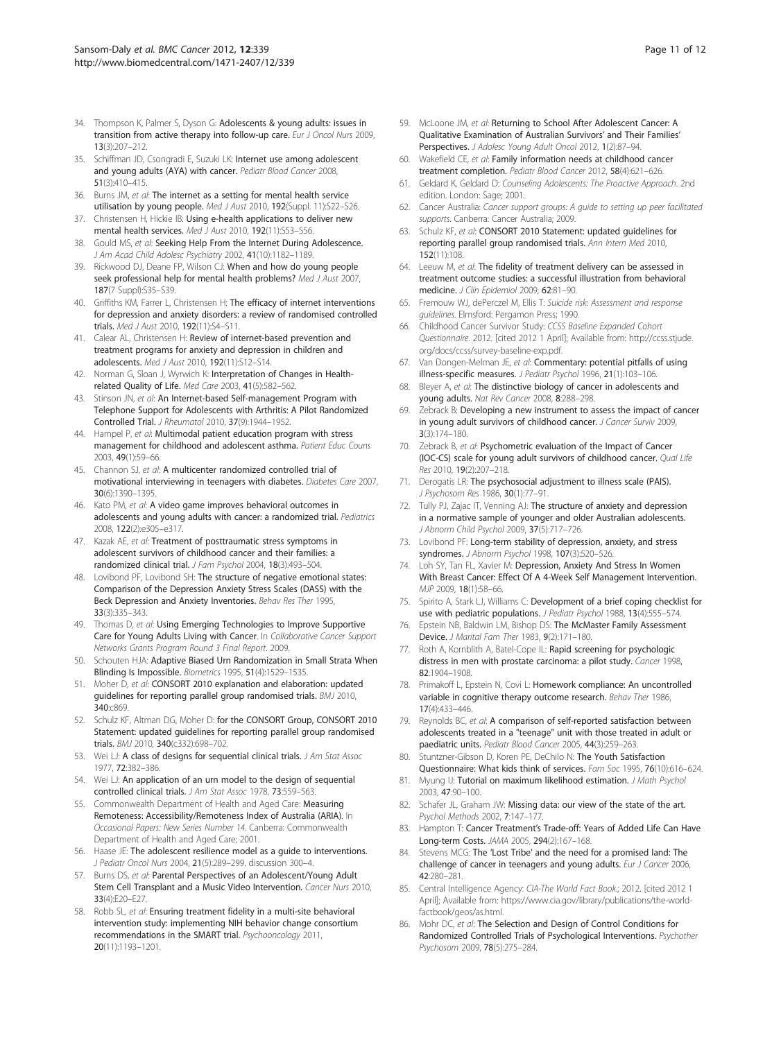- <span id="page-10-0"></span>34. Thompson K, Palmer S, Dyson G: Adolescents & young adults: issues in transition from active therapy into follow-up care. Eur J Oncol Nurs 2009, 13(3):207–212.
- 35. Schiffman JD, Csongradi E, Suzuki LK: Internet use among adolescent and young adults (AYA) with cancer. Pediatr Blood Cancer 2008, 51(3):410–415.
- 36. Burns JM, et al: The internet as a setting for mental health service utilisation by young people. Med J Aust 2010, 192(Suppl. 11):S22-S26.
- 37. Christensen H, Hickie IB: Using e-health applications to deliver new mental health services. Med J Aust 2010, 192(11):S53–S56.
- 38. Gould MS, et al: Seeking Help From the Internet During Adolescence. J Am Acad Child Adolesc Psychiatry 2002, 41(10):1182–1189.
- 39. Rickwood DJ, Deane FP, Wilson CJ: When and how do young people seek professional help for mental health problems? Med J Aust 2007, 187(7 Suppl):S35–S39.
- 40. Griffiths KM, Farrer L, Christensen H: The efficacy of internet interventions for depression and anxiety disorders: a review of randomised controlled trials. Med J Aust 2010, 192(11):S4-S11.
- 41. Calear AL, Christensen H: Review of internet-based prevention and treatment programs for anxiety and depression in children and adolescents. Med J Aust 2010, 192(11):S12–S14.
- 42. Norman G, Sloan J, Wyrwich K: Interpretation of Changes in Healthrelated Quality of Life. Med Care 2003, 41(5):582–562.
- 43. Stinson JN, et al: An Internet-based Self-management Program with Telephone Support for Adolescents with Arthritis: A Pilot Randomized Controlled Trial. J Rheumatol 2010, 37(9):1944–1952.
- 44. Hampel P, et al: Multimodal patient education program with stress management for childhood and adolescent asthma. Patient Educ Couns 2003, 49(1):59–66.
- 45. Channon SJ, et al: A multicenter randomized controlled trial of motivational interviewing in teenagers with diabetes. Diabetes Care 2007, 30(6):1390–1395.
- 46. Kato PM, et al: A video game improves behavioral outcomes in adolescents and young adults with cancer: a randomized trial. Pediatrics 2008, 122(2):e305–e317.
- 47. Kazak AE, et al: Treatment of posttraumatic stress symptoms in adolescent survivors of childhood cancer and their families: a randomized clinical trial. J Fam Psychol 2004, 18(3):493–504.
- 48. Lovibond PF, Lovibond SH: The structure of negative emotional states: Comparison of the Depression Anxiety Stress Scales (DASS) with the Beck Depression and Anxiety Inventories. Behav Res Ther 1995, 33(3):335–343.
- 49. Thomas D, et al: Using Emerging Technologies to Improve Supportive Care for Young Adults Living with Cancer. In Collaborative Cancer Support Networks Grants Program Round 3 Final Report. 2009.
- 50. Schouten HJA: Adaptive Biased Urn Randomization in Small Strata When Blinding Is Impossible. Biometrics 1995, 51(4):1529–1535.
- 51. Moher D, et al: CONSORT 2010 explanation and elaboration: updated guidelines for reporting parallel group randomised trials. BMJ 2010, 340:c869.
- 52. Schulz KF, Altman DG, Moher D: for the CONSORT Group, CONSORT 2010 Statement: updated guidelines for reporting parallel group randomised trials. BMJ 2010, 340(c332):698–702.
- 53. Wei LJ: A class of designs for sequential clinical trials. J Am Stat Assoc 1977, 72:382–386.
- 54. Wei LJ: An application of an urn model to the design of sequential controlled clinical trials. J Am Stat Assoc 1978, 73:559–563.
- 55. Commonwealth Department of Health and Aged Care: Measuring Remoteness: Accessibility/Remoteness Index of Australia (ARIA). In Occasional Papers: New Series Number 14. Canberra: Commonwealth Department of Health and Aged Care; 2001.
- 56. Haase JE: The adolescent resilience model as a guide to interventions. J Pediatr Oncol Nurs 2004, 21(5):289–299. discussion 300–4.
- 57. Burns DS, et al: Parental Perspectives of an Adolescent/Young Adult Stem Cell Transplant and a Music Video Intervention. Cancer Nurs 2010, 33(4):E20–E27.
- 58. Robb SL, et al: Ensuring treatment fidelity in a multi-site behavioral intervention study: implementing NIH behavior change consortium recommendations in the SMART trial. Psychooncology 2011, 20(11):1193–1201.
- 59. McLoone JM, et al: Returning to School After Adolescent Cancer: A Qualitative Examination of Australian Survivors' and Their Families' Perspectives. J Adolesc Young Adult Oncol 2012, 1(2):87-94.
- 60. Wakefield CE, et al: Family information needs at childhood cancer treatment completion. Pediatr Blood Cancer 2012, 58(4):621–626.
- 61. Geldard K, Geldard D: Counseling Adolescents: The Proactive Approach. 2nd edition. London: Sage; 2001.
- 62. Cancer Australia: Cancer support groups: A guide to setting up peer facilitated supports. Canberra: Cancer Australia; 2009.
- 63. Schulz KF, et al: CONSORT 2010 Statement: updated guidelines for reporting parallel group randomised trials. Ann Intern Med 2010, 152(11):108.
- 64. Leeuw M, et al: The fidelity of treatment delivery can be assessed in treatment outcome studies: a successful illustration from behavioral medicine. J Clin Epidemiol 2009, 62:81-90.
- 65. Fremouw WJ, dePerczel M, Ellis T: Suicide risk: Assessment and response guidelines. Elmsford: Pergamon Press; 1990.
- 66. Childhood Cancer Survivor Study: CCSS Baseline Expanded Cohort Questionnaire. 2012. [cited 2012 1 April]; Available from: [http://ccss.stjude.](http://ccss.stjude.org/docs/ccss/survey-baseline-exp.pdf) [org/docs/ccss/survey-baseline-exp.pdf](http://ccss.stjude.org/docs/ccss/survey-baseline-exp.pdf).
- 67. Van Dongen-Melman JE, et al: Commentary: potential pitfalls of using illness-specific measures. J Pediatr Psychol 1996, 21(1):103–106.
- 68. Bleyer A, et al: The distinctive biology of cancer in adolescents and young adults. Nat Rev Cancer 2008, 8:288–298.
- 69. Zebrack B: Developing a new instrument to assess the impact of cancer in young adult survivors of childhood cancer. J Cancer Surviv 2009, 3(3):174–180.
- 70. Zebrack B, et al: Psychometric evaluation of the Impact of Cancer (IOC-CS) scale for young adult survivors of childhood cancer. Qual Life Res 2010, 19(2):207–218.
- 71. Derogatis LR: The psychosocial adjustment to illness scale (PAIS). J Psychosom Res 1986, 30(1):77–91.
- 72. Tully PJ, Zajac IT, Venning AJ: The structure of anxiety and depression in a normative sample of younger and older Australian adolescents. J Abnorm Child Psychol 2009, 37(5):717–726.
- 73. Lovibond PF: Long-term stability of depression, anxiety, and stress syndromes. J Abnorm Psychol 1998, 107(3):520-526.
- 74. Loh SY, Tan FL, Xavier M: Depression, Anxiety And Stress In Women With Breast Cancer: Effect Of A 4-Week Self Management Intervention. MJP 2009, 18(1):58–66.
- 75. Spirito A, Stark LJ, Williams C: Development of a brief coping checklist for use with pediatric populations. J Pediatr Psychol 1988, 13(4):555-574.
- 76. Epstein NB, Baldwin LM, Bishop DS: The McMaster Family Assessment Device. J Marital Fam Ther 1983, 9(2):171–180.
- 77. Roth A, Kornblith A, Batel-Cope IL: Rapid screening for psychologic distress in men with prostate carcinoma: a pilot study. Cancer 1998, 82:1904–1908.
- 78. Primakoff L, Epstein N, Covi L: Homework compliance: An uncontrolled variable in cognitive therapy outcome research. Behav Ther 1986, 17(4):433–446.
- 79. Reynolds BC, et al: A comparison of self-reported satisfaction between adolescents treated in a "teenage" unit with those treated in adult or paediatric units. Pediatr Blood Cancer 2005, 44(3):259–263.
- 80. Stuntzner-Gibson D, Koren PE, DeChilo N: The Youth Satisfaction Questionnaire: What kids think of services. Fam Soc 1995, 76(10):616–624.
- 81. Myung IJ: Tutorial on maximum likelihood estimation. J Math Psychol 2003, 47:90–100.
- 82. Schafer JL, Graham JW: Missing data: our view of the state of the art. Psychol Methods 2002, 7:147–177.
- 83. Hampton T: Cancer Treatment's Trade-off: Years of Added Life Can Have Long-term Costs. JAMA 2005, 294(2):167–168.
- 84. Stevens MCG: The 'Lost Tribe' and the need for a promised land: The challenge of cancer in teenagers and young adults. Eur J Cancer 2006, 42:280–281.
- 85. Central Intelligence Agency: CIA-The World Fact Book.; 2012. [cited 2012 1 April]; Available from: [https://www.cia.gov/library/publications/the-world](https://www.cia.gov/library/publications/the-world-factbook/geos/as.html)[factbook/geos/as.html](https://www.cia.gov/library/publications/the-world-factbook/geos/as.html).
- 86. Mohr DC, et al: The Selection and Design of Control Conditions for Randomized Controlled Trials of Psychological Interventions. Psychother Psychosom 2009, 78(5):275–284.